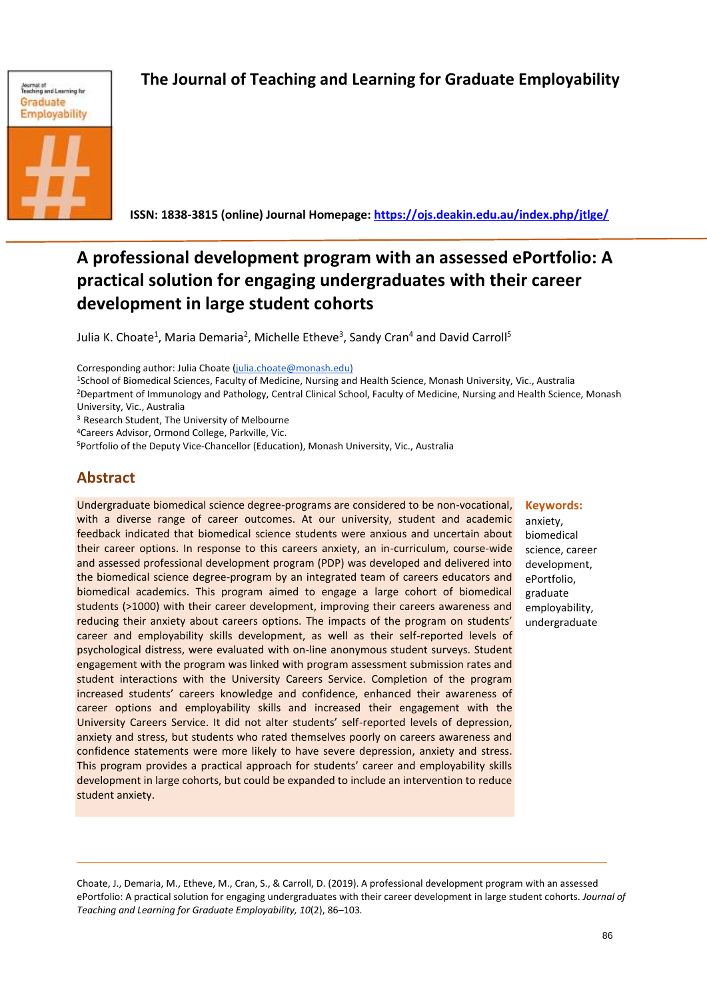

# **The Journal of Teaching and Learning for Graduate Employability**

 **ISSN: 1838-3815 (online) Journal Homepage: https://ojs.deakin.edu.au/index.php/jtlge/**

## **A professional development program with an assessed ePortfolio: A practical solution for engaging undergraduates with their career development in large student cohorts**

Julia K. Choate<sup>1</sup>, Maria Demaria<sup>2</sup>, Michelle Etheve<sup>3</sup>, Sandy Cran<sup>4</sup> and David Carroll<sup>5</sup>

Corresponding author: Julia Choate (julia.choate@monash.edu)

- <sup>1</sup>School of Biomedical Sciences, Faculty of Medicine, Nursing and Health Science, Monash University, Vic., Australia
- <sup>2</sup>Department of Immunology and Pathology, Central Clinical School, Faculty of Medicine, Nursing and Health Science, Monash University, Vic., Australia

<sup>3</sup> Research Student, The University of Melbourne

<sup>4</sup>Careers Advisor, Ormond College, Parkville, Vic.

<sup>5</sup>Portfolio of the Deputy Vice-Chancellor (Education), Monash University, Vic., Australia

## **Abstract**

Undergraduate biomedical science degree-programs are considered to be non-vocational, with a diverse range of career outcomes. At our university, student and academic feedback indicated that biomedical science students were anxious and uncertain about their career options. In response to this careers anxiety, an in-curriculum, course-wide and assessed professional development program (PDP) was developed and delivered into the biomedical science degree-program by an integrated team of careers educators and biomedical academics. This program aimed to engage a large cohort of biomedical students (>1000) with their career development, improving their careers awareness and reducing their anxiety about careers options. The impacts of the program on students' career and employability skills development, as well as their self-reported levels of psychological distress, were evaluated with on-line anonymous student surveys. Student engagement with the program was linked with program assessment submission rates and student interactions with the University Careers Service. Completion of the program increased students' careers knowledge and confidence, enhanced their awareness of career options and employability skills and increased their engagement with the University Careers Service. It did not alter students' self-reported levels of depression, anxiety and stress, but students who rated themselves poorly on careers awareness and confidence statements were more likely to have severe depression, anxiety and stress. This program provides a practical approach for students' career and employability skills development in large cohorts, but could be expanded to include an intervention to reduce student anxiety.

#### **Keywords:**

anxiety, biomedical science, career development, ePortfolio, graduate employability, undergraduate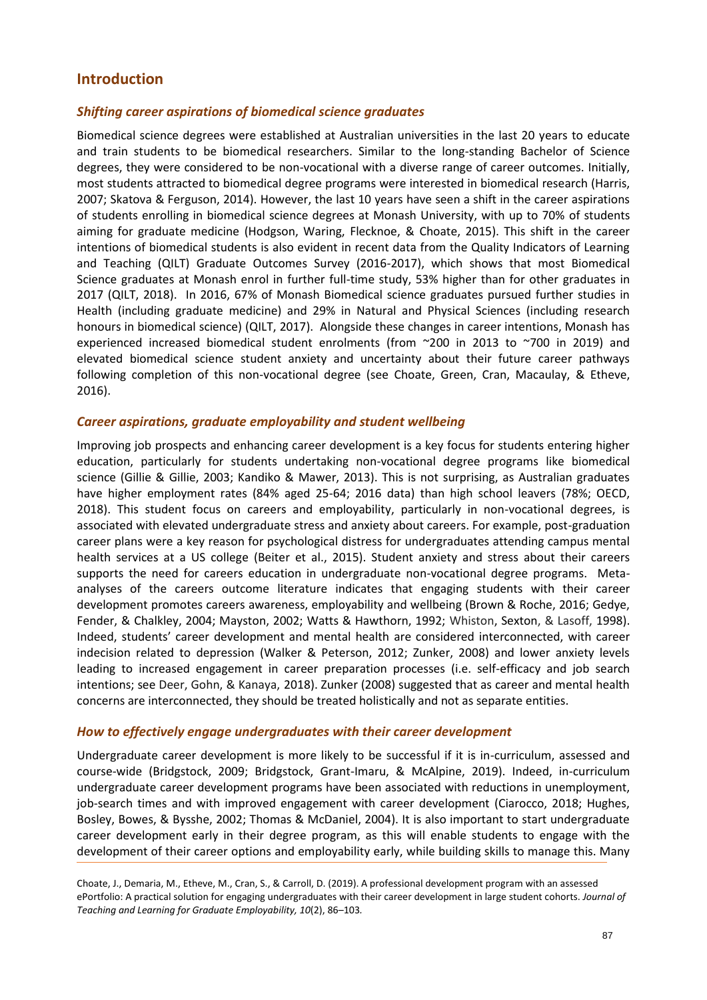## **Introduction**

#### *Shifting career aspirations of biomedical science graduates*

Biomedical science degrees were established at Australian universities in the last 20 years to educate and train students to be biomedical researchers. Similar to the long-standing Bachelor of Science degrees, they were considered to be non-vocational with a diverse range of career outcomes. Initially, most students attracted to biomedical degree programs were interested in biomedical research (Harris, 2007; Skatova & Ferguson, 2014). However, the last 10 years have seen a shift in the career aspirations of students enrolling in biomedical science degrees at Monash University, with up to 70% of students aiming for graduate medicine (Hodgson, Waring, Flecknoe, & Choate, 2015). This shift in the career intentions of biomedical students is also evident in recent data from the Quality Indicators of Learning and Teaching (QILT) Graduate Outcomes Survey (2016-2017), which shows that most Biomedical Science graduates at Monash enrol in further full-time study, 53% higher than for other graduates in 2017 (QILT, 2018). In 2016, 67% of Monash Biomedical science graduates pursued further studies in Health (including graduate medicine) and 29% in Natural and Physical Sciences (including research honours in biomedical science) (QILT, 2017). Alongside these changes in career intentions, Monash has experienced increased biomedical student enrolments (from ~200 in 2013 to ~700 in 2019) and elevated biomedical science student anxiety and uncertainty about their future career pathways following completion of this non-vocational degree (see Choate, Green, Cran, Macaulay, & Etheve, 2016).

#### *Career aspirations, graduate employability and student wellbeing*

Improving job prospects and enhancing career development is a key focus for students entering higher education, particularly for students undertaking non-vocational degree programs like biomedical science (Gillie & Gillie, 2003; Kandiko & Mawer, 2013). This is not surprising, as Australian graduates have higher employment rates (84% aged 25-64; 2016 data) than high school leavers (78%; OECD, 2018). This student focus on careers and employability, particularly in non-vocational degrees, is associated with elevated undergraduate stress and anxiety about careers. For example, post-graduation career plans were a key reason for psychological distress for undergraduates attending campus mental health services at a US college (Beiter et al., 2015). Student anxiety and stress about their careers supports the need for careers education in undergraduate non-vocational degree programs. Metaanalyses of the careers outcome literature indicates that engaging students with their career development promotes careers awareness, employability and wellbeing (Brown & Roche, 2016; Gedye, Fender, & Chalkley, 2004; Mayston, 2002; Watts & Hawthorn, 1992; Whiston, Sexton, & Lasoff, 1998). Indeed, students' career development and mental health are considered interconnected, with career indecision related to depression (Walker & Peterson, 2012; Zunker, 2008) and lower anxiety levels leading to increased engagement in career preparation processes (i.e. self-efficacy and job search intentions; see Deer, Gohn, & Kanaya, 2018). Zunker (2008) suggested that as career and mental health concerns are interconnected, they should be treated holistically and not as separate entities.

#### *How to effectively engage undergraduates with their career development*

Undergraduate career development is more likely to be successful if it is in-curriculum, assessed and course-wide (Bridgstock, 2009; Bridgstock, Grant-Imaru, & McAlpine, 2019). Indeed, in-curriculum undergraduate career development programs have been associated with reductions in unemployment, job-search times and with improved engagement with career development (Ciarocco, 2018; Hughes, Bosley, Bowes, & Bysshe, 2002; Thomas & McDaniel, 2004). It is also important to start undergraduate career development early in their degree program, as this will enable students to engage with the development of their career options and employability early, while building skills to manage this. Many

Choate, J., Demaria, M., Etheve, M., Cran, S., & Carroll, D. (2019). A professional development program with an assessed ePortfolio: A practical solution for engaging undergraduates with their career development in large student cohorts. *Journal of Teaching and Learning for Graduate Employability, 10*(2), 86–103*.*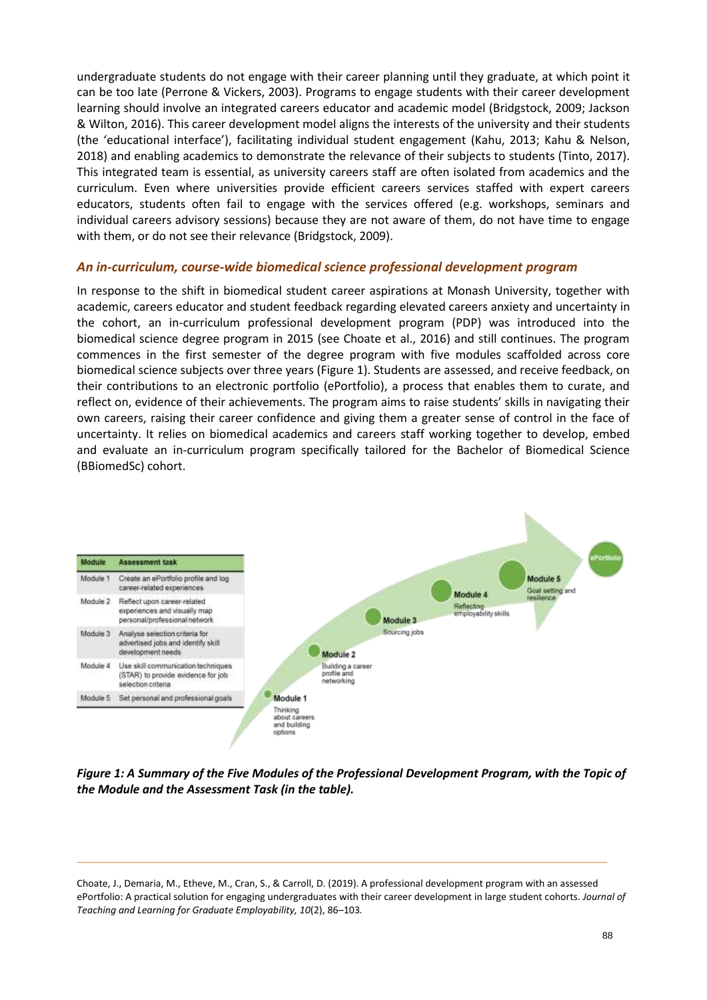undergraduate students do not engage with their career planning until they graduate, at which point it can be too late (Perrone & Vickers, 2003). Programs to engage students with their career development learning should involve an integrated careers educator and academic model (Bridgstock, 2009; Jackson & Wilton, 2016). This career development model aligns the interests of the university and their students (the 'educational interface'), facilitating individual student engagement (Kahu, 2013; Kahu & Nelson, 2018) and enabling academics to demonstrate the relevance of their subjects to students (Tinto, 2017). This integrated team is essential, as university careers staff are often isolated from academics and the curriculum. Even where universities provide efficient careers services staffed with expert careers educators, students often fail to engage with the services offered (e.g. workshops, seminars and individual careers advisory sessions) because they are not aware of them, do not have time to engage with them, or do not see their relevance (Bridgstock, 2009).

#### *An in-curriculum, course-wide biomedical science professional development program*

In response to the shift in biomedical student career aspirations at Monash University, together with academic, careers educator and student feedback regarding elevated careers anxiety and uncertainty in the cohort, an in-curriculum professional development program (PDP) was introduced into the biomedical science degree program in 2015 (see Choate et al., 2016) and still continues. The program commences in the first semester of the degree program with five modules scaffolded across core biomedical science subjects over three years (Figure 1). Students are assessed, and receive feedback, on their contributions to an electronic portfolio (ePortfolio), a process that enables them to curate, and reflect on, evidence of their achievements. The program aims to raise students' skills in navigating their own careers, raising their career confidence and giving them a greater sense of control in the face of uncertainty. It relies on biomedical academics and careers staff working together to develop, embed and evaluate an in-curriculum program specifically tailored for the Bachelor of Biomedical Science (BBiomedSc) cohort.



*Figure 1: A Summary of the Five Modules of the Professional Development Program, with the Topic of the Module and the Assessment Task (in the table).*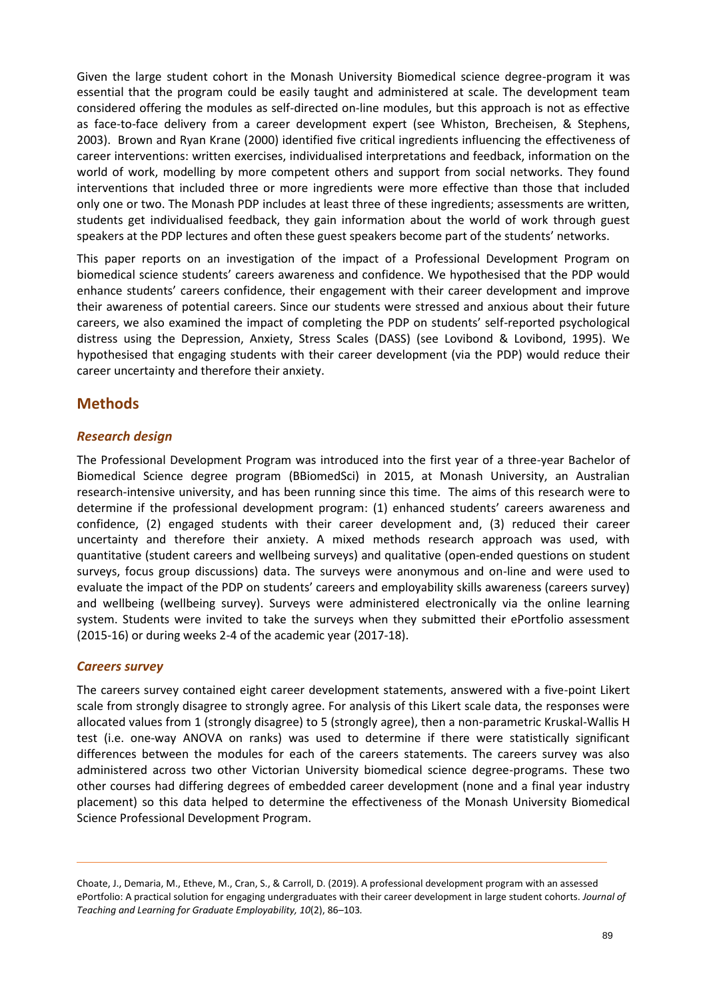Given the large student cohort in the Monash University Biomedical science degree-program it was essential that the program could be easily taught and administered at scale. The development team considered offering the modules as self-directed on-line modules, but this approach is not as effective as face-to-face delivery from a career development expert (see Whiston, Brecheisen, & Stephens, 2003). Brown and Ryan Krane (2000) identified five critical ingredients influencing the effectiveness of career interventions: written exercises, individualised interpretations and feedback, information on the world of work, modelling by more competent others and support from social networks. They found interventions that included three or more ingredients were more effective than those that included only one or two. The Monash PDP includes at least three of these ingredients; assessments are written, students get individualised feedback, they gain information about the world of work through guest speakers at the PDP lectures and often these guest speakers become part of the students' networks.

This paper reports on an investigation of the impact of a Professional Development Program on biomedical science students' careers awareness and confidence. We hypothesised that the PDP would enhance students' careers confidence, their engagement with their career development and improve their awareness of potential careers. Since our students were stressed and anxious about their future careers, we also examined the impact of completing the PDP on students' self-reported psychological distress using the Depression, Anxiety, Stress Scales (DASS) (see Lovibond & Lovibond, 1995). We hypothesised that engaging students with their career development (via the PDP) would reduce their career uncertainty and therefore their anxiety.

## **Methods**

#### *Research design*

The Professional Development Program was introduced into the first year of a three-year Bachelor of Biomedical Science degree program (BBiomedSci) in 2015, at Monash University, an Australian research-intensive university, and has been running since this time. The aims of this research were to determine if the professional development program: (1) enhanced students' careers awareness and confidence, (2) engaged students with their career development and, (3) reduced their career uncertainty and therefore their anxiety. A mixed methods research approach was used, with quantitative (student careers and wellbeing surveys) and qualitative (open-ended questions on student surveys, focus group discussions) data. The surveys were anonymous and on-line and were used to evaluate the impact of the PDP on students' careers and employability skills awareness (careers survey) and wellbeing (wellbeing survey). Surveys were administered electronically via the online learning system. Students were invited to take the surveys when they submitted their ePortfolio assessment (2015-16) or during weeks 2-4 of the academic year (2017-18).

#### *Careers survey*

The careers survey contained eight career development statements, answered with a five-point Likert scale from strongly disagree to strongly agree. For analysis of this Likert scale data, the responses were allocated values from 1 (strongly disagree) to 5 (strongly agree), then a non-parametric Kruskal-Wallis H test (i.e. one-way ANOVA on ranks) was used to determine if there were statistically significant differences between the modules for each of the careers statements. The careers survey was also administered across two other Victorian University biomedical science degree-programs. These two other courses had differing degrees of embedded career development (none and a final year industry placement) so this data helped to determine the effectiveness of the Monash University Biomedical Science Professional Development Program.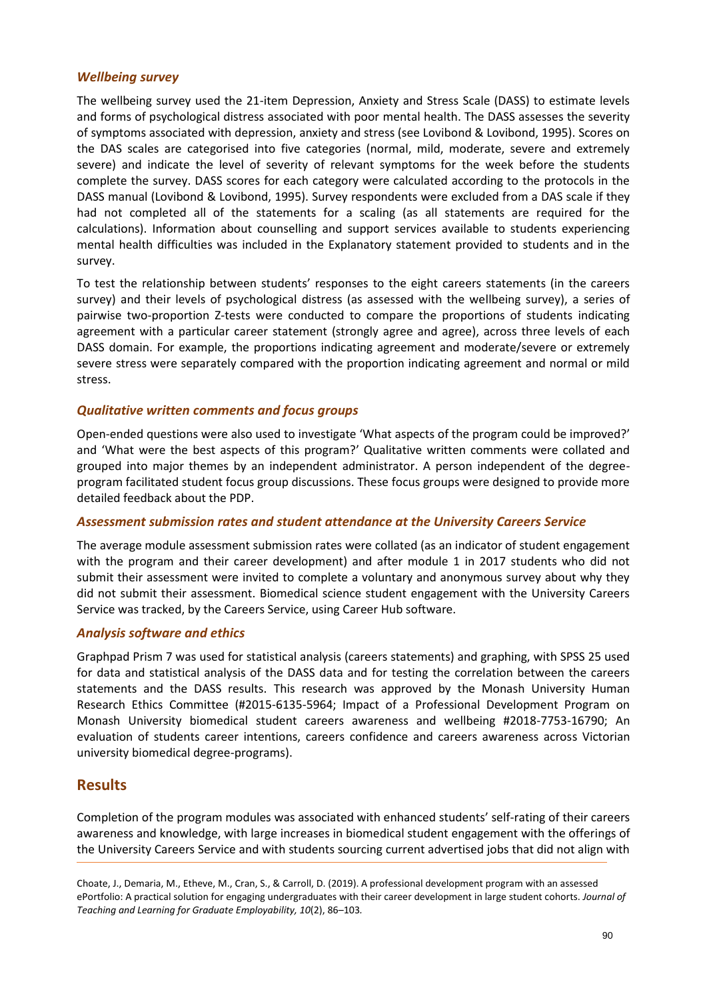#### *Wellbeing survey*

The wellbeing survey used the 21-item Depression, Anxiety and Stress Scale (DASS) to estimate levels and forms of psychological distress associated with poor mental health. The DASS assesses the severity of symptoms associated with depression, anxiety and stress (see Lovibond & Lovibond, 1995). Scores on the DAS scales are categorised into five categories (normal, mild, moderate, severe and extremely severe) and indicate the level of severity of relevant symptoms for the week before the students complete the survey. DASS scores for each category were calculated according to the protocols in the DASS manual (Lovibond & Lovibond, 1995). Survey respondents were excluded from a DAS scale if they had not completed all of the statements for a scaling (as all statements are required for the calculations). Information about counselling and support services available to students experiencing mental health difficulties was included in the Explanatory statement provided to students and in the survey.

To test the relationship between students' responses to the eight careers statements (in the careers survey) and their levels of psychological distress (as assessed with the wellbeing survey), a series of pairwise two-proportion Z-tests were conducted to compare the proportions of students indicating agreement with a particular career statement (strongly agree and agree), across three levels of each DASS domain. For example, the proportions indicating agreement and moderate/severe or extremely severe stress were separately compared with the proportion indicating agreement and normal or mild stress.

#### *Qualitative written comments and focus groups*

Open-ended questions were also used to investigate 'What aspects of the program could be improved?' and 'What were the best aspects of this program?' Qualitative written comments were collated and grouped into major themes by an independent administrator. A person independent of the degreeprogram facilitated student focus group discussions. These focus groups were designed to provide more detailed feedback about the PDP.

#### *Assessment submission rates and student attendance at the University Careers Service*

The average module assessment submission rates were collated (as an indicator of student engagement with the program and their career development) and after module 1 in 2017 students who did not submit their assessment were invited to complete a voluntary and anonymous survey about why they did not submit their assessment. Biomedical science student engagement with the University Careers Service was tracked, by the Careers Service, using Career Hub software.

#### *Analysis software and ethics*

Graphpad Prism 7 was used for statistical analysis (careers statements) and graphing, with SPSS 25 used for data and statistical analysis of the DASS data and for testing the correlation between the careers statements and the DASS results. This research was approved by the Monash University Human Research Ethics Committee (#2015-6135-5964; Impact of a Professional Development Program on Monash University biomedical student careers awareness and wellbeing #2018-7753-16790; An evaluation of students career intentions, careers confidence and careers awareness across Victorian university biomedical degree-programs).

## **Results**

Completion of the program modules was associated with enhanced students' self-rating of their careers awareness and knowledge, with large increases in biomedical student engagement with the offerings of the University Careers Service and with students sourcing current advertised jobs that did not align with

Choate, J., Demaria, M., Etheve, M., Cran, S., & Carroll, D. (2019). A professional development program with an assessed ePortfolio: A practical solution for engaging undergraduates with their career development in large student cohorts. *Journal of Teaching and Learning for Graduate Employability, 10*(2), 86–103*.*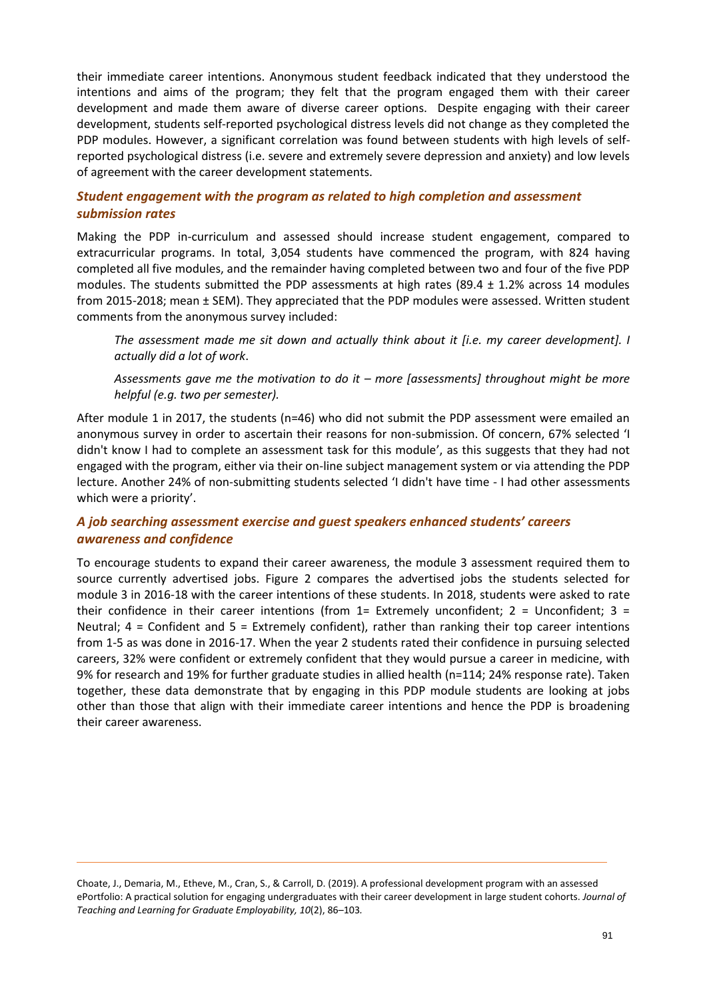their immediate career intentions. Anonymous student feedback indicated that they understood the intentions and aims of the program; they felt that the program engaged them with their career development and made them aware of diverse career options. Despite engaging with their career development, students self-reported psychological distress levels did not change as they completed the PDP modules. However, a significant correlation was found between students with high levels of selfreported psychological distress (i.e. severe and extremely severe depression and anxiety) and low levels of agreement with the career development statements.

## *Student engagement with the program as related to high completion and assessment submission rates*

Making the PDP in-curriculum and assessed should increase student engagement, compared to extracurricular programs. In total, 3,054 students have commenced the program, with 824 having completed all five modules, and the remainder having completed between two and four of the five PDP modules. The students submitted the PDP assessments at high rates (89.4  $\pm$  1.2% across 14 modules from 2015-2018; mean ± SEM). They appreciated that the PDP modules were assessed. Written student comments from the anonymous survey included:

*The assessment made me sit down and actually think about it [i.e. my career development]. I actually did a lot of work*.

*Assessments gave me the motivation to do it – more [assessments] throughout might be more helpful (e.g. two per semester).*

After module 1 in 2017, the students (n=46) who did not submit the PDP assessment were emailed an anonymous survey in order to ascertain their reasons for non-submission. Of concern, 67% selected 'I didn't know I had to complete an assessment task for this module', as this suggests that they had not engaged with the program, either via their on-line subject management system or via attending the PDP lecture. Another 24% of non-submitting students selected 'I didn't have time - I had other assessments which were a priority'.

## *A job searching assessment exercise and guest speakers enhanced students' careers awareness and confidence*

To encourage students to expand their career awareness, the module 3 assessment required them to source currently advertised jobs. Figure 2 compares the advertised jobs the students selected for module 3 in 2016-18 with the career intentions of these students. In 2018, students were asked to rate their confidence in their career intentions (from  $1=$  Extremely unconfident;  $2=$  Unconfident;  $3=$ Neutral; 4 = Confident and 5 = Extremely confident), rather than ranking their top career intentions from 1-5 as was done in 2016-17. When the year 2 students rated their confidence in pursuing selected careers, 32% were confident or extremely confident that they would pursue a career in medicine, with 9% for research and 19% for further graduate studies in allied health (n=114; 24% response rate). Taken together, these data demonstrate that by engaging in this PDP module students are looking at jobs other than those that align with their immediate career intentions and hence the PDP is broadening their career awareness.

Choate, J., Demaria, M., Etheve, M., Cran, S., & Carroll, D. (2019). A professional development program with an assessed ePortfolio: A practical solution for engaging undergraduates with their career development in large student cohorts. *Journal of Teaching and Learning for Graduate Employability, 10*(2), 86–103*.*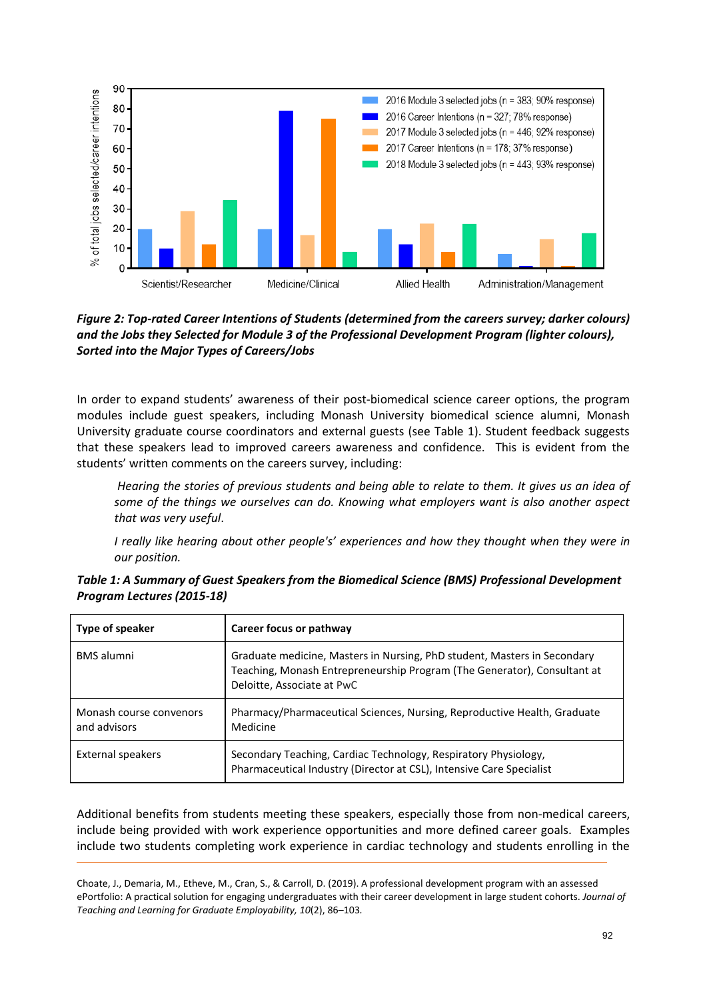

*Figure 2: Top-rated Career Intentions of Students (determined from the careers survey; darker colours) and the Jobs they Selected for Module 3 of the Professional Development Program (lighter colours), Sorted into the Major Types of Careers/Jobs*

In order to expand students' awareness of their post-biomedical science career options, the program modules include guest speakers, including Monash University biomedical science alumni, Monash University graduate course coordinators and external guests (see Table 1). Student feedback suggests that these speakers lead to improved careers awareness and confidence. This is evident from the students' written comments on the careers survey, including:

*Hearing the stories of previous students and being able to relate to them. It gives us an idea of some of the things we ourselves can do. Knowing what employers want is also another aspect that was very useful*.

*I really like hearing about other people's' experiences and how they thought when they were in our position.*

| Type of speaker                         | Career focus or pathway                                                                                                                                                            |
|-----------------------------------------|------------------------------------------------------------------------------------------------------------------------------------------------------------------------------------|
| <b>BMS</b> alumni                       | Graduate medicine, Masters in Nursing, PhD student, Masters in Secondary<br>Teaching, Monash Entrepreneurship Program (The Generator), Consultant at<br>Deloitte, Associate at PwC |
| Monash course convenors<br>and advisors | Pharmacy/Pharmaceutical Sciences, Nursing, Reproductive Health, Graduate<br>Medicine                                                                                               |
| <b>External speakers</b>                | Secondary Teaching, Cardiac Technology, Respiratory Physiology,<br>Pharmaceutical Industry (Director at CSL), Intensive Care Specialist                                            |

| Table 1: A Summary of Guest Speakers from the Biomedical Science (BMS) Professional Development |  |
|-------------------------------------------------------------------------------------------------|--|
| Program Lectures (2015-18)                                                                      |  |

Additional benefits from students meeting these speakers, especially those from non-medical careers, include being provided with work experience opportunities and more defined career goals. Examples include two students completing work experience in cardiac technology and students enrolling in the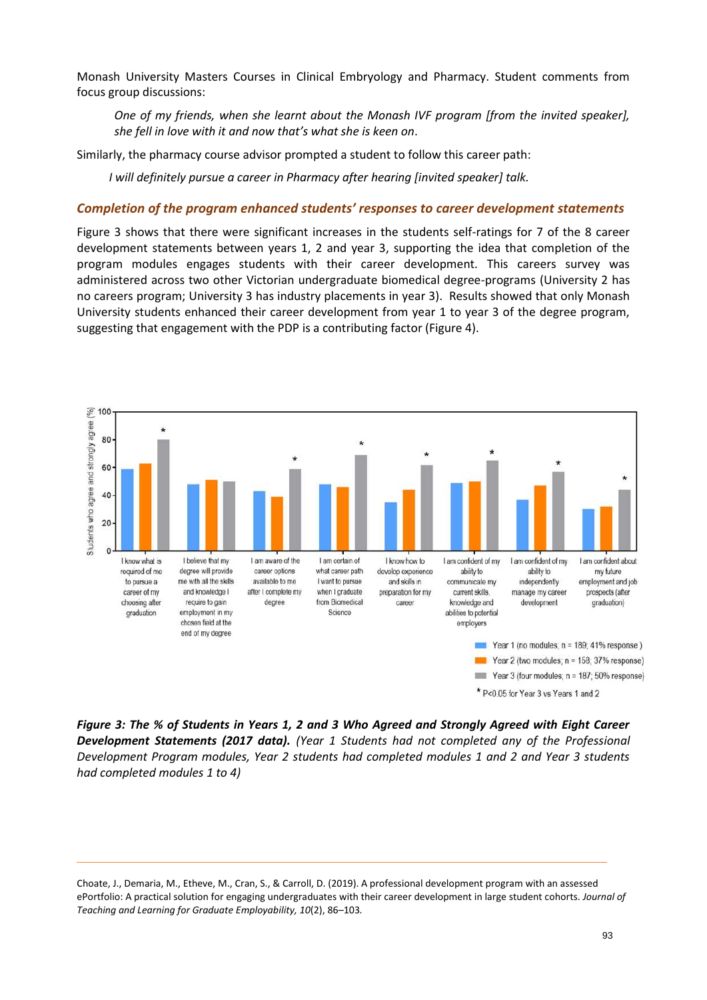Monash University Masters Courses in Clinical Embryology and Pharmacy. Student comments from focus group discussions:

*One of my friends, when she learnt about the Monash IVF program [from the invited speaker], she fell in love with it and now that's what she is keen on*.

Similarly, the pharmacy course advisor prompted a student to follow this career path:

*I will definitely pursue a career in Pharmacy after hearing [invited speaker] talk.*

#### *Completion of the program enhanced students' responses to career development statements*

Figure 3 shows that there were significant increases in the students self-ratings for 7 of the 8 career development statements between years 1, 2 and year 3, supporting the idea that completion of the program modules engages students with their career development. This careers survey was administered across two other Victorian undergraduate biomedical degree-programs (University 2 has no careers program; University 3 has industry placements in year 3). Results showed that only Monash University students enhanced their career development from year 1 to year 3 of the degree program, suggesting that engagement with the PDP is a contributing factor (Figure 4).



\* P<0.05 for Year 3 vs Years 1 and 2

*Figure 3: The % of Students in Years 1, 2 and 3 Who Agreed and Strongly Agreed with Eight Career Development Statements (2017 data). (Year 1 Students had not completed any of the Professional Development Program modules, Year 2 students had completed modules 1 and 2 and Year 3 students had completed modules 1 to 4)*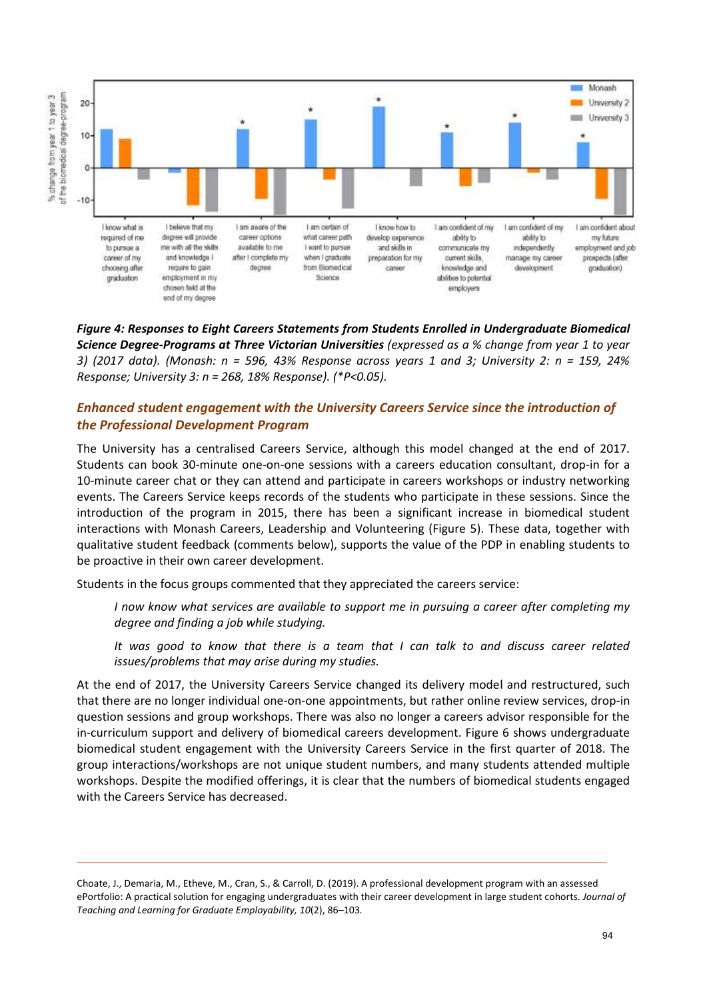

*Figure 4: Responses to Eight Careers Statements from Students Enrolled in Undergraduate Biomedical Science Degree-Programs at Three Victorian Universities (expressed as a % change from year 1 to year 3) (2017 data). (Monash: n = 596, 43% Response across years 1 and 3; University 2: n = 159, 24% Response; University 3: n = 268, 18% Response). (\*P<0.05).*

## *Enhanced student engagement with the University Careers Service since the introduction of the Professional Development Program*

The University has a centralised Careers Service, although this model changed at the end of 2017. Students can book 30-minute one-on-one sessions with a careers education consultant, drop-in for a 10-minute career chat or they can attend and participate in careers workshops or industry networking events. The Careers Service keeps records of the students who participate in these sessions. Since the introduction of the program in 2015, there has been a significant increase in biomedical student interactions with Monash Careers, Leadership and Volunteering (Figure 5). These data, together with qualitative student feedback (comments below), supports the value of the PDP in enabling students to be proactive in their own career development.

Students in the focus groups commented that they appreciated the careers service:

*I now know what services are available to support me in pursuing a career after completing my degree and finding a job while studying.* 

*It was good to know that there is a team that I can talk to and discuss career related issues/problems that may arise during my studies.*

At the end of 2017, the University Careers Service changed its delivery model and restructured, such that there are no longer individual one-on-one appointments, but rather online review services, drop-in question sessions and group workshops. There was also no longer a careers advisor responsible for the in-curriculum support and delivery of biomedical careers development. Figure 6 shows undergraduate biomedical student engagement with the University Careers Service in the first quarter of 2018. The group interactions/workshops are not unique student numbers, and many students attended multiple workshops. Despite the modified offerings, it is clear that the numbers of biomedical students engaged with the Careers Service has decreased.

Choate, J., Demaria, M., Etheve, M., Cran, S., & Carroll, D. (2019). A professional development program with an assessed ePortfolio: A practical solution for engaging undergraduates with their career development in large student cohorts. *Journal of Teaching and Learning for Graduate Employability, 10*(2), 86–103*.*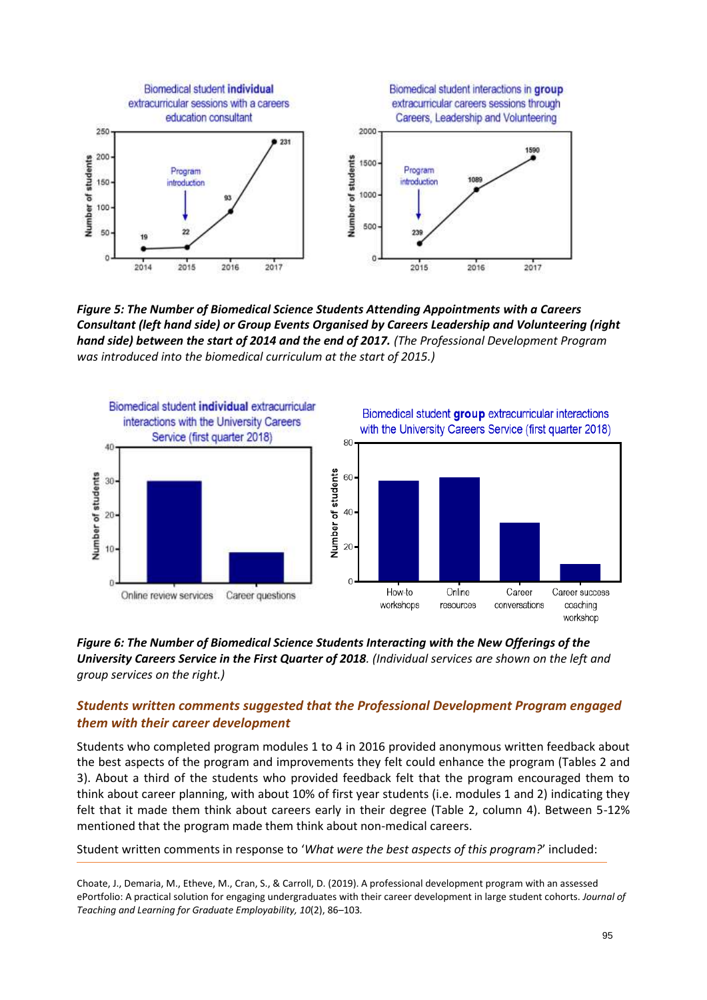

*Figure 5: The Number of Biomedical Science Students Attending Appointments with a Careers Consultant (left hand side) or Group Events Organised by Careers Leadership and Volunteering (right hand side) between the start of 2014 and the end of 2017. (The Professional Development Program was introduced into the biomedical curriculum at the start of 2015.)*



#### *Figure 6: The Number of Biomedical Science Students Interacting with the New Offerings of the University Careers Service in the First Quarter of 2018. (Individual services are shown on the left and group services on the right.)*

### *Students written comments suggested that the Professional Development Program engaged them with their career development*

Students who completed program modules 1 to 4 in 2016 provided anonymous written feedback about the best aspects of the program and improvements they felt could enhance the program (Tables 2 and 3). About a third of the students who provided feedback felt that the program encouraged them to think about career planning, with about 10% of first year students (i.e. modules 1 and 2) indicating they felt that it made them think about careers early in their degree (Table 2, column 4). Between 5-12% mentioned that the program made them think about non-medical careers.

Student written comments in response to '*What were the best aspects of this program?*' included: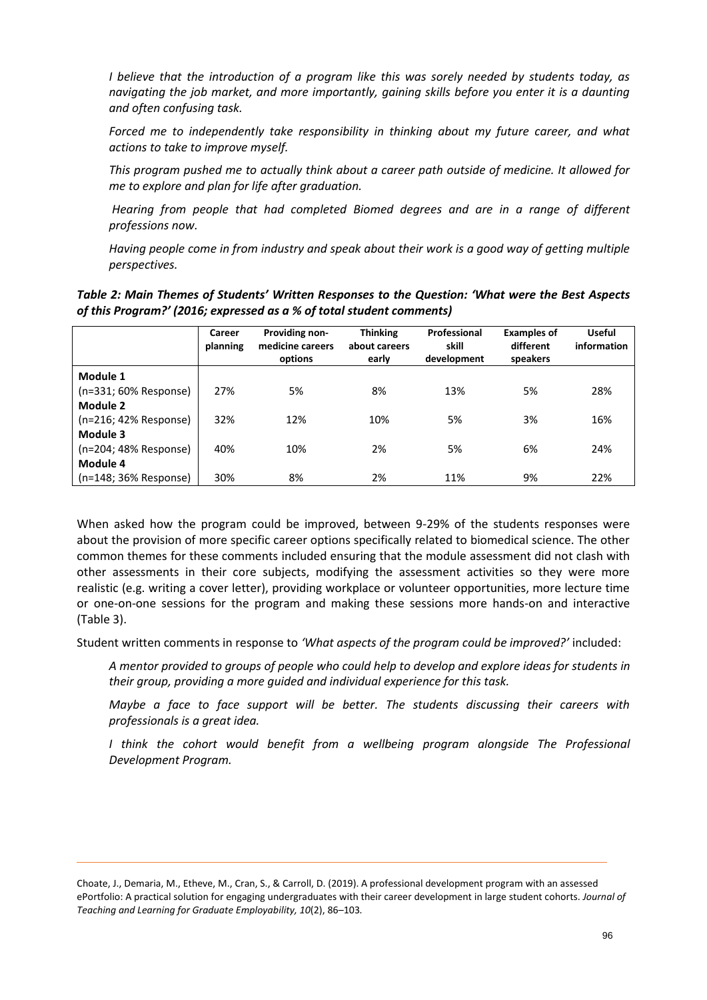*I believe that the introduction of a program like this was sorely needed by students today, as navigating the job market, and more importantly, gaining skills before you enter it is a daunting and often confusing task.*

*Forced me to independently take responsibility in thinking about my future career, and what actions to take to improve myself.*

*This program pushed me to actually think about a career path outside of medicine. It allowed for me to explore and plan for life after graduation.*

*Hearing from people that had completed Biomed degrees and are in a range of different professions now.*

*Having people come in from industry and speak about their work is a good way of getting multiple perspectives.*

*Table 2: Main Themes of Students' Written Responses to the Question: 'What were the Best Aspects of this Program?' (2016; expressed as a % of total student comments)*

|                       | Career<br>planning | <b>Providing non-</b><br>medicine careers<br>options | <b>Thinking</b><br>about careers<br>early | Professional<br>skill<br>development | <b>Examples of</b><br>different<br>speakers | <b>Useful</b><br>information |
|-----------------------|--------------------|------------------------------------------------------|-------------------------------------------|--------------------------------------|---------------------------------------------|------------------------------|
| Module 1              |                    |                                                      |                                           |                                      |                                             |                              |
| (n=331; 60% Response) | 27%                | 5%                                                   | 8%                                        | 13%                                  | 5%                                          | 28%                          |
| Module 2              |                    |                                                      |                                           |                                      |                                             |                              |
| (n=216; 42% Response) | 32%                | 12%                                                  | 10%                                       | 5%                                   | 3%                                          | 16%                          |
| Module 3              |                    |                                                      |                                           |                                      |                                             |                              |
| (n=204; 48% Response) | 40%                | 10%                                                  | 2%                                        | 5%                                   | 6%                                          | 24%                          |
| Module 4              |                    |                                                      |                                           |                                      |                                             |                              |
| (n=148; 36% Response) | 30%                | 8%                                                   | 2%                                        | 11%                                  | 9%                                          | 22%                          |

When asked how the program could be improved, between 9-29% of the students responses were about the provision of more specific career options specifically related to biomedical science. The other common themes for these comments included ensuring that the module assessment did not clash with other assessments in their core subjects, modifying the assessment activities so they were more realistic (e.g. writing a cover letter), providing workplace or volunteer opportunities, more lecture time or one-on-one sessions for the program and making these sessions more hands-on and interactive (Table 3).

Student written comments in response to *'What aspects of the program could be improved?'* included:

*A mentor provided to groups of people who could help to develop and explore ideas for students in their group, providing a more guided and individual experience for this task.* 

*Maybe a face to face support will be better. The students discussing their careers with professionals is a great idea.*

*I* think the cohort would benefit from a wellbeing program alongside The Professional *Development Program.*

Choate, J., Demaria, M., Etheve, M., Cran, S., & Carroll, D. (2019). A professional development program with an assessed ePortfolio: A practical solution for engaging undergraduates with their career development in large student cohorts. *Journal of Teaching and Learning for Graduate Employability, 10*(2), 86–103*.*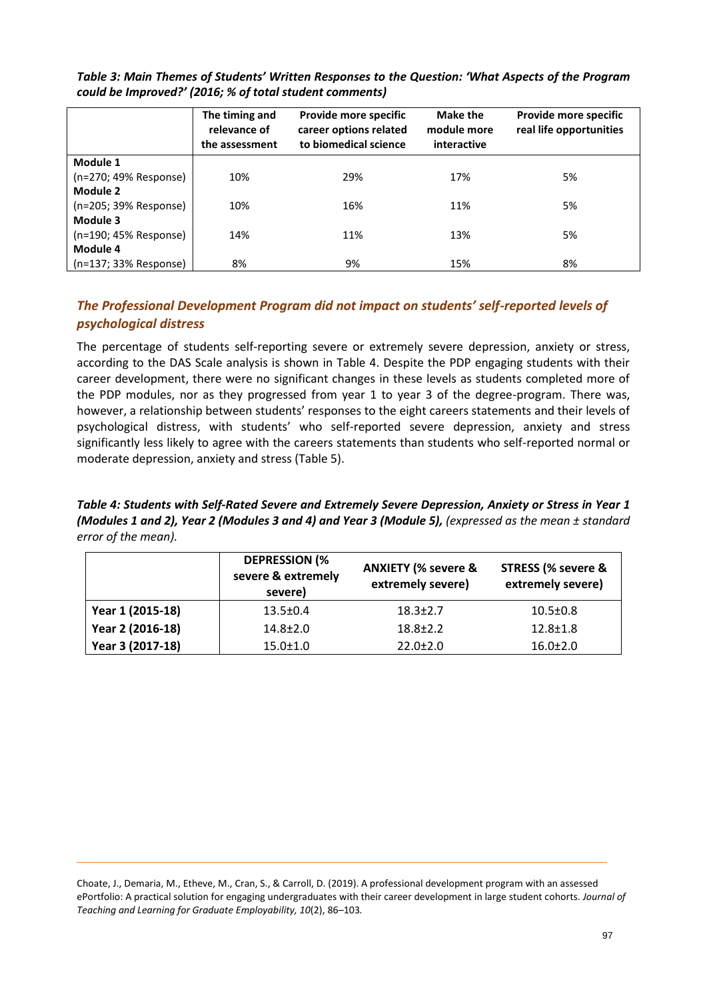|                       | The timing and<br>relevance of<br>the assessment | Provide more specific<br>career options related<br>to biomedical science | <b>Make the</b><br>module more<br>interactive | Provide more specific<br>real life opportunities |  |  |
|-----------------------|--------------------------------------------------|--------------------------------------------------------------------------|-----------------------------------------------|--------------------------------------------------|--|--|
| Module 1              |                                                  |                                                                          |                                               |                                                  |  |  |
| (n=270; 49% Response) | 10%                                              | 29%                                                                      | 17%                                           | 5%                                               |  |  |
| Module 2              |                                                  |                                                                          |                                               |                                                  |  |  |
| (n=205; 39% Response) | 10%                                              | 16%                                                                      | 11%                                           | 5%                                               |  |  |
| Module 3              |                                                  |                                                                          |                                               |                                                  |  |  |
| (n=190; 45% Response) | 14%                                              | 11%                                                                      | 13%                                           | 5%                                               |  |  |
| Module 4              |                                                  |                                                                          |                                               |                                                  |  |  |
| (n=137; 33% Response) | 8%                                               | 9%                                                                       | 15%                                           | 8%                                               |  |  |

*Table 3: Main Themes of Students' Written Responses to the Question: 'What Aspects of the Program could be Improved?' (2016; % of total student comments)*

## *The Professional Development Program did not impact on students' self-reported levels of psychological distress*

The percentage of students self-reporting severe or extremely severe depression, anxiety or stress, according to the DAS Scale analysis is shown in Table 4. Despite the PDP engaging students with their career development, there were no significant changes in these levels as students completed more of the PDP modules, nor as they progressed from year 1 to year 3 of the degree-program. There was, however, a relationship between students' responses to the eight careers statements and their levels of psychological distress, with students' who self-reported severe depression, anxiety and stress significantly less likely to agree with the careers statements than students who self-reported normal or moderate depression, anxiety and stress (Table 5).

*Table 4: Students with Self-Rated Severe and Extremely Severe Depression, Anxiety or Stress in Year 1 (Modules 1 and 2), Year 2 (Modules 3 and 4) and Year 3 (Module 5), (expressed as the mean ± standard error of the mean).* 

|                  | <b>DEPRESSION (%</b><br>severe & extremely<br>severe) | <b>ANXIETY (% severe &amp;</b><br>extremely severe) | <b>STRESS (% severe &amp;</b><br>extremely severe) |  |  |
|------------------|-------------------------------------------------------|-----------------------------------------------------|----------------------------------------------------|--|--|
| Year 1 (2015-18) | $13.5 \pm 0.4$                                        | $18.3 \pm 2.7$                                      | $10.5 \pm 0.8$                                     |  |  |
| Year 2 (2016-18) | $14.8 \pm 2.0$                                        | $18.8 \pm 2.2$                                      | $12.8 \pm 1.8$                                     |  |  |
| Year 3 (2017-18) | $15.0 \pm 1.0$                                        | $22.0 \pm 2.0$                                      | $16.0 \pm 2.0$                                     |  |  |

Choate, J., Demaria, M., Etheve, M., Cran, S., & Carroll, D. (2019). A professional development program with an assessed ePortfolio: A practical solution for engaging undergraduates with their career development in large student cohorts. *Journal of Teaching and Learning for Graduate Employability, 10*(2), 86–103*.*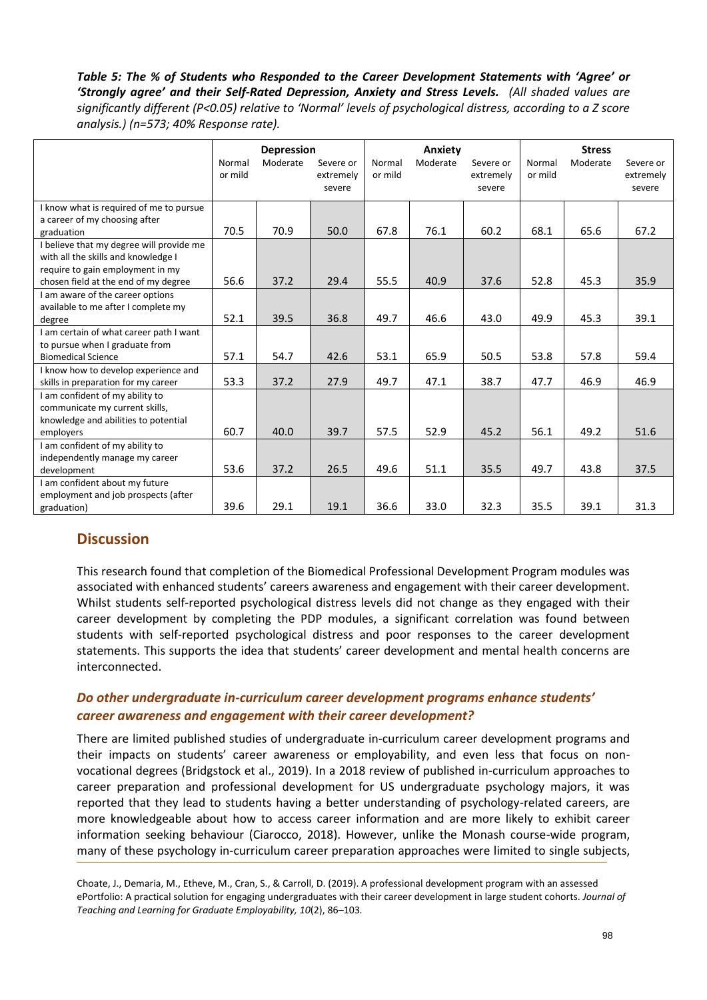#### *Table 5: The % of Students who Responded to the Career Development Statements with 'Agree' or 'Strongly agree' and their Self-Rated Depression, Anxiety and Stress Levels. (All shaded values are significantly different (P<0.05) relative to 'Normal' levels of psychological distress, according to a Z score analysis.) (n=573; 40% Response rate).*

|                                          | <b>Depression</b> |          | Anxiety   |         |          | <b>Stress</b> |         |          |           |
|------------------------------------------|-------------------|----------|-----------|---------|----------|---------------|---------|----------|-----------|
|                                          | Normal            | Moderate | Severe or | Normal  | Moderate | Severe or     | Normal  | Moderate | Severe or |
|                                          | or mild           |          | extremely | or mild |          | extremely     | or mild |          | extremely |
|                                          |                   |          | severe    |         |          | severe        |         |          | severe    |
| I know what is required of me to pursue  |                   |          |           |         |          |               |         |          |           |
| a career of my choosing after            |                   |          |           |         |          |               |         |          |           |
| graduation                               | 70.5              | 70.9     | 50.0      | 67.8    | 76.1     | 60.2          | 68.1    | 65.6     | 67.2      |
| I believe that my degree will provide me |                   |          |           |         |          |               |         |          |           |
| with all the skills and knowledge I      |                   |          |           |         |          |               |         |          |           |
| require to gain employment in my         |                   |          |           |         |          |               |         |          |           |
| chosen field at the end of my degree     | 56.6              | 37.2     | 29.4      | 55.5    | 40.9     | 37.6          | 52.8    | 45.3     | 35.9      |
| I am aware of the career options         |                   |          |           |         |          |               |         |          |           |
| available to me after I complete my      |                   |          |           |         |          |               |         |          |           |
| degree                                   | 52.1              | 39.5     | 36.8      | 49.7    | 46.6     | 43.0          | 49.9    | 45.3     | 39.1      |
| I am certain of what career path I want  |                   |          |           |         |          |               |         |          |           |
| to pursue when I graduate from           |                   |          |           |         |          |               |         |          |           |
| <b>Biomedical Science</b>                | 57.1              | 54.7     | 42.6      | 53.1    | 65.9     | 50.5          | 53.8    | 57.8     | 59.4      |
| I know how to develop experience and     |                   |          |           |         |          |               |         |          |           |
| skills in preparation for my career      | 53.3              | 37.2     | 27.9      | 49.7    | 47.1     | 38.7          | 47.7    | 46.9     | 46.9      |
| I am confident of my ability to          |                   |          |           |         |          |               |         |          |           |
| communicate my current skills,           |                   |          |           |         |          |               |         |          |           |
| knowledge and abilities to potential     |                   |          |           |         |          |               |         |          |           |
| employers                                | 60.7              | 40.0     | 39.7      | 57.5    | 52.9     | 45.2          | 56.1    | 49.2     | 51.6      |
| I am confident of my ability to          |                   |          |           |         |          |               |         |          |           |
| independently manage my career           |                   |          |           |         |          |               |         |          |           |
| development                              | 53.6              | 37.2     | 26.5      | 49.6    | 51.1     | 35.5          | 49.7    | 43.8     | 37.5      |
| I am confident about my future           |                   |          |           |         |          |               |         |          |           |
| employment and job prospects (after      |                   |          |           |         |          |               |         |          |           |
| graduation)                              | 39.6              | 29.1     | 19.1      | 36.6    | 33.0     | 32.3          | 35.5    | 39.1     | 31.3      |

## **Discussion**

This research found that completion of the Biomedical Professional Development Program modules was associated with enhanced students' careers awareness and engagement with their career development. Whilst students self-reported psychological distress levels did not change as they engaged with their career development by completing the PDP modules, a significant correlation was found between students with self-reported psychological distress and poor responses to the career development statements. This supports the idea that students' career development and mental health concerns are interconnected.

### *Do other undergraduate in-curriculum career development programs enhance students' career awareness and engagement with their career development?*

There are limited published studies of undergraduate in-curriculum career development programs and their impacts on students' career awareness or employability, and even less that focus on nonvocational degrees (Bridgstock et al., 2019). In a 2018 review of published in-curriculum approaches to career preparation and professional development for US undergraduate psychology majors, it was reported that they lead to students having a better understanding of psychology-related careers, are more knowledgeable about how to access career information and are more likely to exhibit career information seeking behaviour (Ciarocco, 2018). However, unlike the Monash course-wide program, many of these psychology in-curriculum career preparation approaches were limited to single subjects,

Choate, J., Demaria, M., Etheve, M., Cran, S., & Carroll, D. (2019). A professional development program with an assessed ePortfolio: A practical solution for engaging undergraduates with their career development in large student cohorts. *Journal of Teaching and Learning for Graduate Employability, 10*(2), 86–103*.*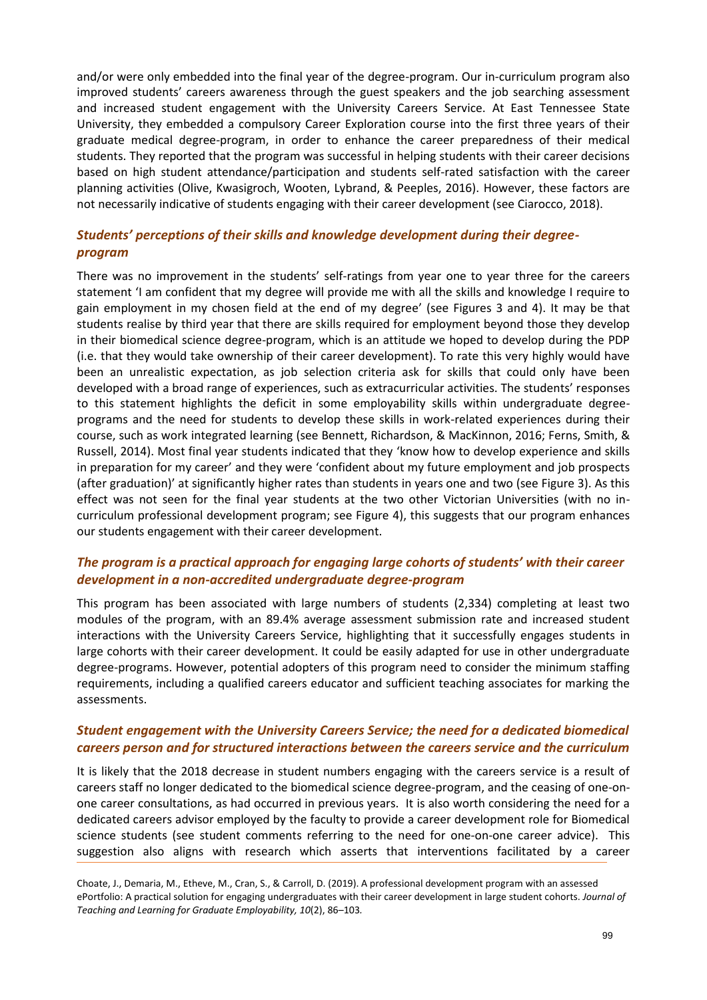and/or were only embedded into the final year of the degree-program. Our in-curriculum program also improved students' careers awareness through the guest speakers and the job searching assessment and increased student engagement with the University Careers Service. At East Tennessee State University, they embedded a compulsory Career Exploration course into the first three years of their graduate medical degree-program, in order to enhance the career preparedness of their medical students. They reported that the program was successful in helping students with their career decisions based on high student attendance/participation and students self-rated satisfaction with the career planning activities (Olive, Kwasigroch, Wooten, Lybrand, & Peeples, 2016). However, these factors are not necessarily indicative of students engaging with their career development (see Ciarocco, 2018).

## *Students' perceptions of their skills and knowledge development during their degreeprogram*

There was no improvement in the students' self-ratings from year one to year three for the careers statement 'I am confident that my degree will provide me with all the skills and knowledge I require to gain employment in my chosen field at the end of my degree' (see Figures 3 and 4). It may be that students realise by third year that there are skills required for employment beyond those they develop in their biomedical science degree-program, which is an attitude we hoped to develop during the PDP (i.e. that they would take ownership of their career development). To rate this very highly would have been an unrealistic expectation, as job selection criteria ask for skills that could only have been developed with a broad range of experiences, such as extracurricular activities. The students' responses to this statement highlights the deficit in some employability skills within undergraduate degreeprograms and the need for students to develop these skills in work-related experiences during their course, such as work integrated learning (see Bennett, Richardson, & MacKinnon, 2016; Ferns, Smith, & Russell, 2014). Most final year students indicated that they 'know how to develop experience and skills in preparation for my career' and they were 'confident about my future employment and job prospects (after graduation)' at significantly higher rates than students in years one and two (see Figure 3). As this effect was not seen for the final year students at the two other Victorian Universities (with no incurriculum professional development program; see Figure 4), this suggests that our program enhances our students engagement with their career development.

### *The program is a practical approach for engaging large cohorts of students' with their career development in a non-accredited undergraduate degree-program*

This program has been associated with large numbers of students (2,334) completing at least two modules of the program, with an 89.4% average assessment submission rate and increased student interactions with the University Careers Service, highlighting that it successfully engages students in large cohorts with their career development. It could be easily adapted for use in other undergraduate degree-programs. However, potential adopters of this program need to consider the minimum staffing requirements, including a qualified careers educator and sufficient teaching associates for marking the assessments.

#### *Student engagement with the University Careers Service; the need for a dedicated biomedical careers person and for structured interactions between the careers service and the curriculum*

It is likely that the 2018 decrease in student numbers engaging with the careers service is a result of careers staff no longer dedicated to the biomedical science degree-program, and the ceasing of one-onone career consultations, as had occurred in previous years. It is also worth considering the need for a dedicated careers advisor employed by the faculty to provide a career development role for Biomedical science students (see student comments referring to the need for one-on-one career advice). This suggestion also aligns with research which asserts that interventions facilitated by a career

Choate, J., Demaria, M., Etheve, M., Cran, S., & Carroll, D. (2019). A professional development program with an assessed ePortfolio: A practical solution for engaging undergraduates with their career development in large student cohorts. *Journal of Teaching and Learning for Graduate Employability, 10*(2), 86–103*.*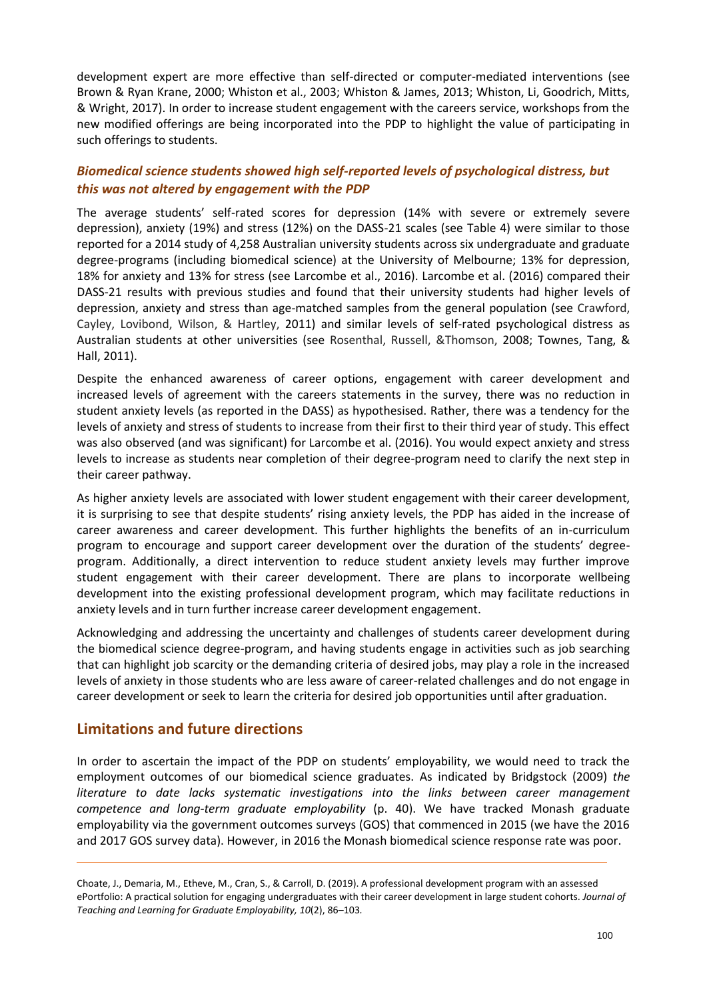development expert are more effective than self-directed or computer-mediated interventions (see Brown & Ryan Krane, 2000; Whiston et al., 2003; Whiston & James, 2013; Whiston, Li, Goodrich, Mitts, & Wright, 2017). In order to increase student engagement with the careers service, workshops from the new modified offerings are being incorporated into the PDP to highlight the value of participating in such offerings to students.

## *Biomedical science students showed high self-reported levels of psychological distress, but this was not altered by engagement with the PDP*

The average students' self-rated scores for depression (14% with severe or extremely severe depression), anxiety (19%) and stress (12%) on the DASS-21 scales (see Table 4) were similar to those reported for a 2014 study of 4,258 Australian university students across six undergraduate and graduate degree-programs (including biomedical science) at the University of Melbourne; 13% for depression, 18% for anxiety and 13% for stress (see Larcombe et al., 2016). Larcombe et al. (2016) compared their DASS-21 results with previous studies and found that their university students had higher levels of depression, anxiety and stress than age-matched samples from the general population (see Crawford, Cayley, Lovibond, Wilson, & Hartley, 2011) and similar levels of self-rated psychological distress as Australian students at other universities (see Rosenthal, Russell, &Thomson, 2008; Townes, Tang, & Hall, 2011).

Despite the enhanced awareness of career options, engagement with career development and increased levels of agreement with the careers statements in the survey, there was no reduction in student anxiety levels (as reported in the DASS) as hypothesised. Rather, there was a tendency for the levels of anxiety and stress of students to increase from their first to their third year of study. This effect was also observed (and was significant) for Larcombe et al. (2016). You would expect anxiety and stress levels to increase as students near completion of their degree-program need to clarify the next step in their career pathway.

As higher anxiety levels are associated with lower student engagement with their career development, it is surprising to see that despite students' rising anxiety levels, the PDP has aided in the increase of career awareness and career development. This further highlights the benefits of an in-curriculum program to encourage and support career development over the duration of the students' degreeprogram. Additionally, a direct intervention to reduce student anxiety levels may further improve student engagement with their career development. There are plans to incorporate wellbeing development into the existing professional development program, which may facilitate reductions in anxiety levels and in turn further increase career development engagement.

Acknowledging and addressing the uncertainty and challenges of students career development during the biomedical science degree-program, and having students engage in activities such as job searching that can highlight job scarcity or the demanding criteria of desired jobs, may play a role in the increased levels of anxiety in those students who are less aware of career-related challenges and do not engage in career development or seek to learn the criteria for desired job opportunities until after graduation.

## **Limitations and future directions**

In order to ascertain the impact of the PDP on students' employability, we would need to track the employment outcomes of our biomedical science graduates. As indicated by Bridgstock (2009) *the literature to date lacks systematic investigations into the links between career management competence and long-term graduate employability* (p. 40). We have tracked Monash graduate employability via the government outcomes surveys (GOS) that commenced in 2015 (we have the 2016 and 2017 GOS survey data). However, in 2016 the Monash biomedical science response rate was poor.

Choate, J., Demaria, M., Etheve, M., Cran, S., & Carroll, D. (2019). A professional development program with an assessed ePortfolio: A practical solution for engaging undergraduates with their career development in large student cohorts. *Journal of Teaching and Learning for Graduate Employability, 10*(2), 86–103*.*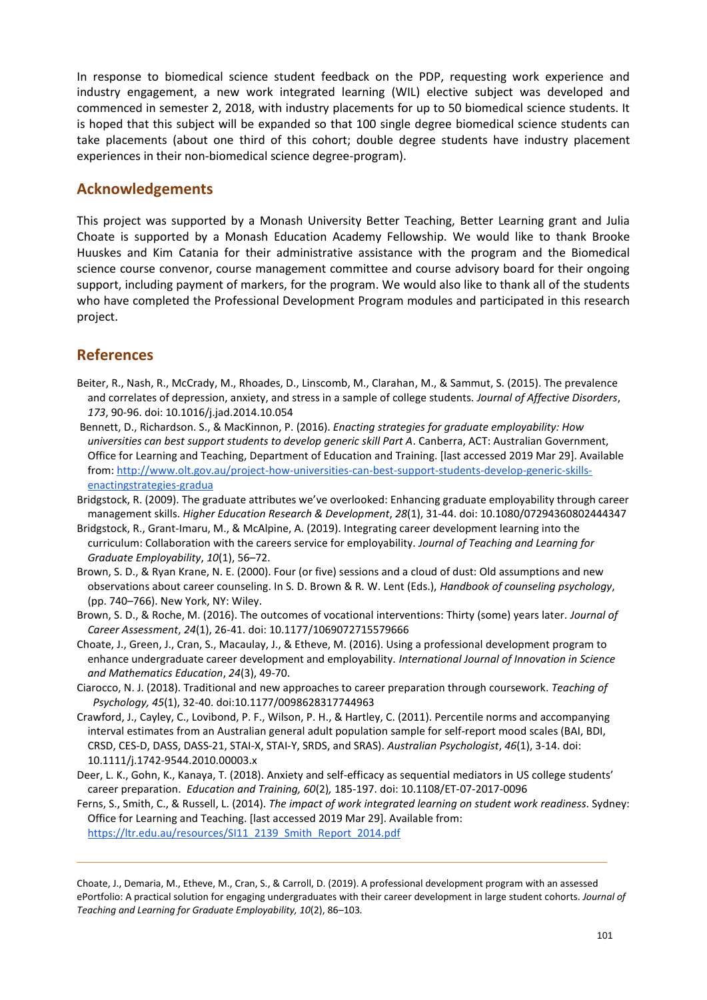In response to biomedical science student feedback on the PDP, requesting work experience and industry engagement, a new work integrated learning (WIL) elective subject was developed and commenced in semester 2, 2018, with industry placements for up to 50 biomedical science students. It is hoped that this subject will be expanded so that 100 single degree biomedical science students can take placements (about one third of this cohort; double degree students have industry placement experiences in their non-biomedical science degree-program).

## **Acknowledgements**

This project was supported by a Monash University Better Teaching, Better Learning grant and Julia Choate is supported by a Monash Education Academy Fellowship. We would like to thank Brooke Huuskes and Kim Catania for their administrative assistance with the program and the Biomedical science course convenor, course management committee and course advisory board for their ongoing support, including payment of markers, for the program. We would also like to thank all of the students who have completed the Professional Development Program modules and participated in this research project.

## **References**

- Beiter, R., Nash, R., McCrady, M., Rhoades, D., Linscomb, M., Clarahan, M., & Sammut, S. (2015). The prevalence and correlates of depression, anxiety, and stress in a sample of college students. *Journal of Affective Disorders*, *173*, 90-96. doi: 10.1016/j.jad.2014.10.054
- Bennett, D., Richardson. S., & MacKinnon, P. (2016). *Enacting strategies for graduate employability: How universities can best support students to develop generic skill Part A*. Canberra, ACT: Australian Government, Office for Learning and Teaching, Department of Education and Training. [last accessed 2019 Mar 29]. Available from: http://www.olt.gov.au/project-how-universities-can-best-support-students-develop-generic-skillsenactingstrategies-gradua
- Bridgstock, R. (2009). The graduate attributes we've overlooked: Enhancing graduate employability through career management skills. *Higher Education Research & Development*, *28*(1), 31-44. doi: 10.1080/07294360802444347
- Bridgstock, R., Grant-Imaru, M., & McAlpine, A. (2019). Integrating career development learning into the curriculum: Collaboration with the careers service for employability. *Journal of Teaching and Learning for Graduate Employability*, *10*(1), 56–72.
- Brown, S. D., & Ryan Krane, N. E. (2000). Four (or five) sessions and a cloud of dust: Old assumptions and new observations about career counseling. In S. D. Brown & R. W. Lent (Eds.), *Handbook of counseling psychology*, (pp. 740–766). New York, NY: Wiley.
- Brown, S. D., & Roche, M. (2016). The outcomes of vocational interventions: Thirty (some) years later. *Journal of Career Assessment*, *24*(1), 26-41. doi: 10.1177/1069072715579666
- Choate, J., Green, J., Cran, S., Macaulay, J., & Etheve, M. (2016). Using a professional development program to enhance undergraduate career development and employability. *International Journal of Innovation in Science and Mathematics Education*, *24*(3), 49-70.
- Ciarocco, N. J. (2018). Traditional and new approaches to career preparation through coursework. *Teaching of Psychology, 45*(1), 32-40. doi:10.1177/0098628317744963
- Crawford, J., Cayley, C., Lovibond, P. F., Wilson, P. H., & Hartley, C. (2011). Percentile norms and accompanying interval estimates from an Australian general adult population sample for self-report mood scales (BAI, BDI, CRSD, CES‐D, DASS, DASS‐21, STAI‐X, STAI‐Y, SRDS, and SRAS). *Australian Psychologist*, *46*(1), 3-14. doi: 10.1111/j.1742-9544.2010.00003.x
- Deer, L. K., Gohn, K., Kanaya, T. (2018). Anxiety and self-efficacy as sequential mediators in US college students' career preparation. *Education and Training, 60*(2)*,* 185-197. doi: 10.1108/ET-07-2017-0096
- Ferns, S., Smith, C., & Russell, L. (2014). *The impact of work integrated learning on student work readiness*. Sydney: Office for Learning and Teaching. [last accessed 2019 Mar 29]. Available from: https://ltr.edu.au/resources/SI11\_2139\_Smith\_Report\_2014.pdf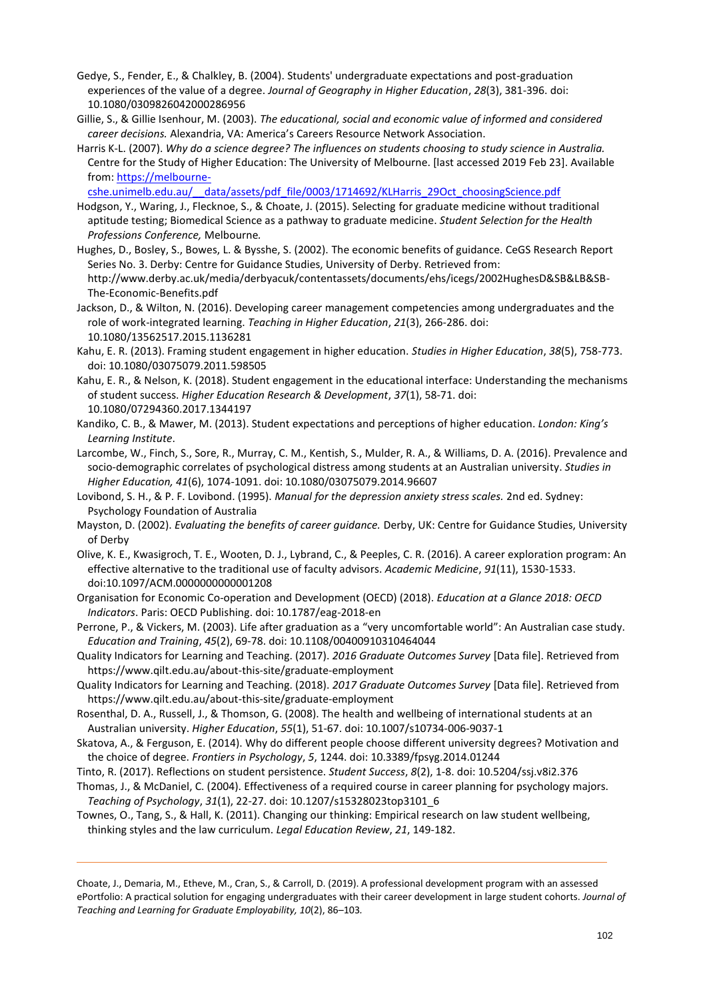- Gedye, S., Fender, E., & Chalkley, B. (2004). Students' undergraduate expectations and post-graduation experiences of the value of a degree. *Journal of Geography in Higher Education*, *28*(3), 381-396. doi: 10.1080/0309826042000286956
- Gillie, S., & Gillie Isenhour, M. (2003). *The educational, social and economic value of informed and considered career decisions.* Alexandria, VA: America's Careers Resource Network Association.
- Harris K-L. (2007). *Why do a science degree? The influences on students choosing to study science in Australia.*  Centre for the Study of Higher Education: The University of Melbourne. [last accessed 2019 Feb 23]. Available from: https://melbourne-

cshe.unimelb.edu.au/\_\_data/assets/pdf\_file/0003/1714692/KLHarris\_29Oct\_choosingScience.pdf

- Hodgson, Y., Waring, J., Flecknoe, S., & Choate, J. (2015). Selecting for graduate medicine without traditional aptitude testing; Biomedical Science as a pathway to graduate medicine. *Student Selection for the Health Professions Conference,* Melbourne*.*
- Hughes, D., Bosley, S., Bowes, L. & Bysshe, S. (2002). The economic benefits of guidance. CeGS Research Report Series No. 3. Derby: Centre for Guidance Studies, University of Derby. Retrieved from: http://www.derby.ac.uk/media/derbyacuk/contentassets/documents/ehs/icegs/2002HughesD&SB&LB&SB-The-Economic-Benefits.pdf
- Jackson, D., & Wilton, N. (2016). Developing career management competencies among undergraduates and the role of work-integrated learning. *Teaching in Higher Education*, *21*(3), 266-286. doi: 10.1080/13562517.2015.1136281
- Kahu, E. R. (2013). Framing student engagement in higher education. *Studies in Higher Education*, *38*(5), 758-773. doi: 10.1080/03075079.2011.598505
- Kahu, E. R., & Nelson, K. (2018). Student engagement in the educational interface: Understanding the mechanisms of student success. *Higher Education Research & Development*, *37*(1), 58-71. doi: 10.1080/07294360.2017.1344197
- Kandiko, C. B., & Mawer, M. (2013). Student expectations and perceptions of higher education. *London: King's Learning Institute*.
- Larcombe, W., Finch, S., Sore, R., Murray, C. M., Kentish, S., Mulder, R. A., & Williams, D. A. (2016). Prevalence and socio-demographic correlates of psychological distress among students at an Australian university. *Studies in Higher Education, 41*(6), 1074-1091. doi: 10.1080/03075079.2014.96607
- Lovibond, S. H., & P. F. Lovibond. (1995). *Manual for the depression anxiety stress scales.* 2nd ed. Sydney: Psychology Foundation of Australia
- Mayston, D. (2002). *Evaluating the benefits of career guidance.* Derby, UK: Centre for Guidance Studies, University of Derby
- Olive, K. E., Kwasigroch, T. E., Wooten, D. J., Lybrand, C., & Peeples, C. R. (2016). A career exploration program: An effective alternative to the traditional use of faculty advisors. *Academic Medicine*, *91*(11), 1530-1533. doi:10.1097/ACM.0000000000001208
- Organisation for Economic Co-operation and Development (OECD) (2018). *Education at a Glance 2018: OECD Indicators*. Paris: OECD Publishing. doi: 10.1787/eag-2018-en
- Perrone, P., & Vickers, M. (2003). Life after graduation as a "very uncomfortable world": An Australian case study. *Education and Training*, *45*(2), 69-78. doi: 10.1108/00400910310464044
- Quality Indicators for Learning and Teaching. (2017). *2016 Graduate Outcomes Survey* [Data file]. Retrieved from https://www.qilt.edu.au/about-this-site/graduate-employment
- Quality Indicators for Learning and Teaching. (2018). *2017 Graduate Outcomes Survey* [Data file]. Retrieved from https://www.qilt.edu.au/about-this-site/graduate-employment
- Rosenthal, D. A., Russell, J., & Thomson, G. (2008). The health and wellbeing of international students at an Australian university. *Higher Education*, *55*(1), 51-67. doi: 10.1007/s10734-006-9037-1
- Skatova, A., & Ferguson, E. (2014). Why do different people choose different university degrees? Motivation and the choice of degree. *Frontiers in Psychology*, *5*, 1244. doi: 10.3389/fpsyg.2014.01244
- Tinto, R. (2017). Reflections on student persistence. *Student Success*, *8*(2), 1-8. doi: 10.5204/ssj.v8i2.376
- Thomas, J., & McDaniel, C. (2004). Effectiveness of a required course in career planning for psychology majors. *Teaching of Psychology*, *31*(1), 22-27. doi: 10.1207/s15328023top3101\_6
- Townes, O., Tang, S., & Hall, K. (2011). Changing our thinking: Empirical research on law student wellbeing, thinking styles and the law curriculum. *Legal Education Review*, *21*, 149-182.